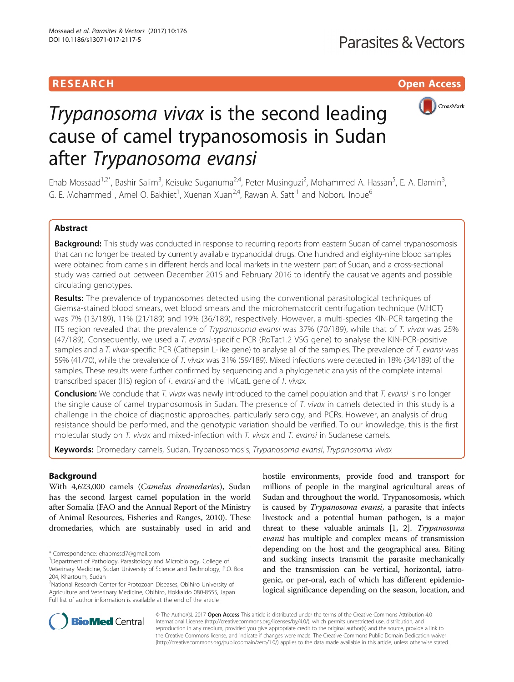# RESEARCH **RESEARCH CONSUMING THE CONSUMING THE CONSUMING THE CONSUMING TENS**



# Trypanosoma vivax is the second leading cause of camel trypanosomosis in Sudan after Trypanosoma evansi

Ehab Mossaad<sup>1,2\*</sup>, Bashir Salim<sup>3</sup>, Keisuke Suganuma<sup>2,4</sup>, Peter Musinguzi<sup>2</sup>, Mohammed A. Hassan<sup>5</sup>, E. A. Elamin<sup>3</sup> , G. E. Mohammed<sup>1</sup>, Amel O. Bakhiet<sup>1</sup>, Xuenan Xuan<sup>2,4</sup>, Rawan A. Satti<sup>1</sup> and Noboru Inoue<sup>6</sup>

# Abstract

Background: This study was conducted in response to recurring reports from eastern Sudan of camel trypanosomosis that can no longer be treated by currently available trypanocidal drugs. One hundred and eighty-nine blood samples were obtained from camels in different herds and local markets in the western part of Sudan, and a cross-sectional study was carried out between December 2015 and February 2016 to identify the causative agents and possible circulating genotypes.

Results: The prevalence of trypanosomes detected using the conventional parasitological techniques of Giemsa-stained blood smears, wet blood smears and the microhematocrit centrifugation technique (MHCT) was 7% (13/189), 11% (21/189) and 19% (36/189), respectively. However, a multi-species KIN-PCR targeting the ITS region revealed that the prevalence of Trypanosoma evansi was 37% (70/189), while that of T. vivax was 25% (47/189). Consequently, we used a T. evansi-specific PCR (RoTat1.2 VSG gene) to analyse the KIN-PCR-positive samples and a T. vivax-specific PCR (Cathepsin L-like gene) to analyse all of the samples. The prevalence of T. evansi was 59% (41/70), while the prevalence of T. vivax was 31% (59/189). Mixed infections were detected in 18% (34/189) of the samples. These results were further confirmed by sequencing and a phylogenetic analysis of the complete internal transcribed spacer (ITS) region of T. evansi and the TviCatL gene of T. vivax.

Conclusion: We conclude that T. vivax was newly introduced to the camel population and that T. evansi is no longer the single cause of camel trypanosomosis in Sudan. The presence of T. vivax in camels detected in this study is a challenge in the choice of diagnostic approaches, particularly serology, and PCRs. However, an analysis of drug resistance should be performed, and the genotypic variation should be verified. To our knowledge, this is the first molecular study on T. vivax and mixed-infection with T. vivax and T. evansi in Sudanese camels.

Keywords: Dromedary camels, Sudan, Trypanosomosis, Trypanosoma evansi, Trypanosoma vivax

## Background

With 4,623,000 camels (Camelus dromedaries), Sudan has the second largest camel population in the world after Somalia (FAO and the Annual Report of the Ministry of Animal Resources, Fisheries and Ranges, 2010). These dromedaries, which are sustainably used in arid and

hostile environments, provide food and transport for millions of people in the marginal agricultural areas of Sudan and throughout the world. Trypanosomosis, which is caused by Trypanosoma evansi, a parasite that infects livestock and a potential human pathogen, is a major threat to these valuable animals [\[1](#page-8-0), [2](#page-8-0)]. Trypanosoma evansi has multiple and complex means of transmission depending on the host and the geographical area. Biting and sucking insects transmit the parasite mechanically and the transmission can be vertical, horizontal, iatrogenic, or per-oral, each of which has different epidemiological significance depending on the season, location, and



© The Author(s). 2017 **Open Access** This article is distributed under the terms of the Creative Commons Attribution 4.0 International License [\(http://creativecommons.org/licenses/by/4.0/](http://creativecommons.org/licenses/by/4.0/)), which permits unrestricted use, distribution, and reproduction in any medium, provided you give appropriate credit to the original author(s) and the source, provide a link to the Creative Commons license, and indicate if changes were made. The Creative Commons Public Domain Dedication waiver [\(http://creativecommons.org/publicdomain/zero/1.0/](http://creativecommons.org/publicdomain/zero/1.0/)) applies to the data made available in this article, unless otherwise stated.

<sup>\*</sup> Correspondence: [ehabmssd7@gmail.com](mailto:ehabmssd7@gmail.com) <sup>1</sup>

<sup>&</sup>lt;sup>1</sup>Department of Pathology, Parasitology and Microbiology, College of Veterinary Medicine, Sudan University of Science and Technology, P.O. Box

<sup>204,</sup> Khartoum, Sudan

<sup>&</sup>lt;sup>2</sup>National Research Center for Protozoan Diseases, Obihiro University of Agriculture and Veterinary Medicine, Obihiro, Hokkaido 080-8555, Japan Full list of author information is available at the end of the article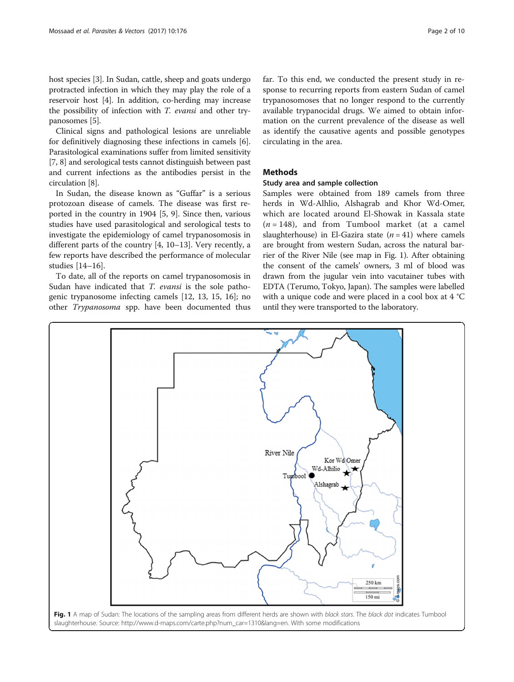host species [\[3](#page-8-0)]. In Sudan, cattle, sheep and goats undergo protracted infection in which they may play the role of a reservoir host [\[4](#page-8-0)]. In addition, co-herding may increase the possibility of infection with T. evansi and other trypanosomes [\[5\]](#page-8-0).

Clinical signs and pathological lesions are unreliable for definitively diagnosing these infections in camels [\[6](#page-8-0)]. Parasitological examinations suffer from limited sensitivity [[7, 8](#page-8-0)] and serological tests cannot distinguish between past and current infections as the antibodies persist in the circulation [\[8\]](#page-8-0).

In Sudan, the disease known as "Guffar" is a serious protozoan disease of camels. The disease was first reported in the country in 1904 [[5, 9](#page-8-0)]. Since then, various studies have used parasitological and serological tests to investigate the epidemiology of camel trypanosomosis in different parts of the country [\[4](#page-8-0), [10](#page-8-0)–[13\]](#page-8-0). Very recently, a few reports have described the performance of molecular studies [\[14](#page-8-0)–[16\]](#page-8-0).

To date, all of the reports on camel trypanosomosis in Sudan have indicated that *T. evansi* is the sole pathogenic trypanosome infecting camels [\[12](#page-8-0), [13, 15, 16\]](#page-8-0); no other Trypanosoma spp. have been documented thus far. To this end, we conducted the present study in response to recurring reports from eastern Sudan of camel trypanosomoses that no longer respond to the currently available trypanocidal drugs. We aimed to obtain information on the current prevalence of the disease as well as identify the causative agents and possible genotypes circulating in the area.

## **Methods**

## Study area and sample collection

Samples were obtained from 189 camels from three herds in Wd-Alhlio, Alshagrab and Khor Wd-Omer, which are located around El-Showak in Kassala state  $(n = 148)$ , and from Tumbool market (at a camel slaughterhouse) in El-Gazira state  $(n = 41)$  where camels are brought from western Sudan, across the natural barrier of the River Nile (see map in Fig. 1). After obtaining the consent of the camels' owners, 3 ml of blood was drawn from the jugular vein into vacutainer tubes with EDTA (Terumo, Tokyo, Japan). The samples were labelled with a unique code and were placed in a cool box at 4 °C until they were transported to the laboratory.

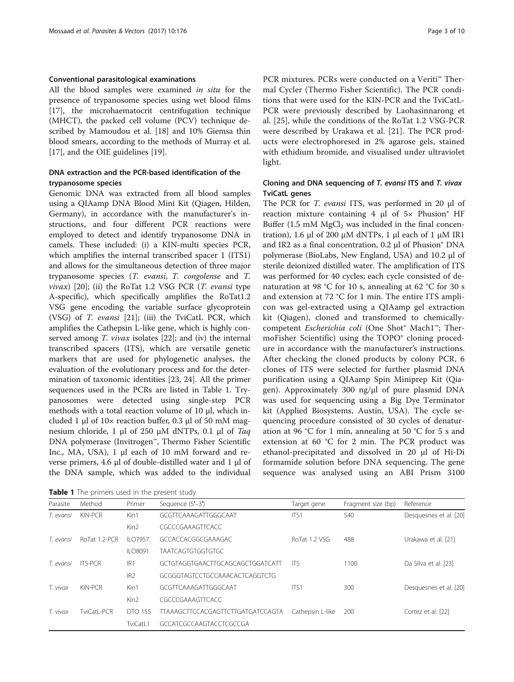### Conventional parasitological examinations

All the blood samples were examined in situ for the presence of trypanosome species using wet blood films [[17\]](#page-8-0), the microhaematocrit centrifugation technique (MHCT), the packed cell volume (PCV) technique described by Mamoudou et al. [[18\]](#page-8-0) and 10% Giemsa thin blood smears, according to the methods of Murray et al. [[17\]](#page-8-0), and the OIE guidelines [\[19\]](#page-8-0).

## DNA extraction and the PCR-based identification of the trypanosome species

Genomic DNA was extracted from all blood samples using a QIAamp DNA Blood Mini Kit (Qiagen, Hilden, Germany), in accordance with the manufacturer's instructions, and four different PCR reactions were employed to detect and identify trypanosome DNA in camels. These included: (i) a KIN-multi species PCR, which amplifies the internal transcribed spacer 1 (ITS1) and allows for the simultaneous detection of three major trypanosome species (T. evansi, T. congolense and T. *vivax*) [[20](#page-8-0)]; (ii) the RoTat 1.2 VSG PCR  $(T.$  *evansi* type A-specific), which specifically amplifies the RoTat1.2 VSG gene encoding the variable surface glycoprotein (VSG) of T. evansi [[21\]](#page-8-0); (iii) the TviCatL PCR, which amplifies the Cathepsin L-like gene, which is highly conserved among *T. vivax* isolates [[22\]](#page-8-0); and (iv) the internal transcribed spacers (ITS), which are versatile genetic markers that are used for phylogenetic analyses, the evaluation of the evolutionary process and for the determination of taxonomic identities [[23, 24\]](#page-8-0). All the primer sequences used in the PCRs are listed in Table 1. Trypanosomes were detected using single-step PCR methods with a total reaction volume of 10 μl, which included 1 μl of 10× reaction buffer, 0.3 μl of 50 mM magnesium chloride, 1 μl of 250 μM dNTPs, 0.1 μl of Taq DNA polymerase (Invitrogen™, Thermo Fisher Scientific Inc., MA, USA), 1 μl each of 10 mM forward and reverse primers, 4.6 μl of double-distilled water and 1 μl of the DNA sample, which was added to the individual

Table 1 The primers used in the present study

PCR mixtures. PCRs were conducted on a Veriti™ Thermal Cycler (Thermo Fisher Scientific). The PCR conditions that were used for the KIN-PCR and the TviCatL-PCR were previously described by Laohasinnarong et al. [\[25](#page-8-0)], while the conditions of the RoTat 1.2 VSG-PCR were described by Urakawa et al. [\[21](#page-8-0)]. The PCR products were electrophoresed in 2% agarose gels, stained with ethidium bromide, and visualised under ultraviolet light.

## Cloning and DNA sequencing of T. evansi ITS and T. vivax TviCatL genes

The PCR for T. evansi ITS, was performed in 20 μl of reaction mixture containing 4 μl of 5× Phusion® HF Buffer (1.5 mM  $MgCl<sub>2</sub>$  was included in the final concentration), 1.6 μl of 200 μM dNTPs, 1 μl each of 1 μM IR1 and IR2 as a final concentration, 0.2 μl of Phusion® DNA polymerase (BioLabs, New England, USA) and 10.2 μl of sterile deionized distilled water. The amplification of ITS was performed for 40 cycles; each cycle consisted of denaturation at 98 °C for 10 s, annealing at 62 °C for 30 s and extension at 72 °C for 1 min. The entire ITS amplicon was gel-extracted using a QIAamp gel extraction kit (Qiagen), cloned and transformed to chemicallycompetent Escherichia coli (One Shot® Mach1™; ThermoFisher Scientific) using the TOPO® cloning procedure in accordance with the manufacturer's instructions. After checking the cloned products by colony PCR, 6 clones of ITS were selected for further plasmid DNA purification using a QIAamp Spin Miniprep Kit (Qiagen). Approximately 300 ng/μl of pure plasmid DNA was used for sequencing using a Big Dye Terminator kit (Applied Biosystems, Austin, USA). The cycle sequencing procedure consisted of 30 cycles of denaturation at 96 °C for 1 min, annealing at 50 °C for 5 s and extension at 60 °C for 2 min. The PCR product was ethanol-precipitated and dissolved in 20 μl of Hi-Di formamide solution before DNA sequencing. The gene sequence was analysed using an ABI Prism 3100

| Parasite  | Method         | Primer           | Sequence (5'-3')                  | Target gene      | Fragment size (bp) | Reference              |
|-----------|----------------|------------------|-----------------------------------|------------------|--------------------|------------------------|
| T. evansi | KIN-PCR        | Kin1             | GCGTTCAAAGATTGGGCAAT              | ITS1             | 540                | Desquesnes et al. [20] |
|           |                | Kin <sub>2</sub> | CGCCCGAAAGTTCACC                  |                  |                    |                        |
| T. evansi | RoTat 1.2-PCR  | <b>ILO7957</b>   | GCCACCACGGCGAAAGAC                | RoTat 1.2 VSG    | 488                | Urakawa et al. [21]    |
|           |                | II 08091         | <b>TAATCAGTGTGGTGTGC</b>          |                  |                    |                        |
| T. evansi | <b>ITS-PCR</b> | IR <sub>1</sub>  | GCTGTAGGTGAACTTGCAGCAGCTGGATCATT  | <b>ITS</b>       | 1100               | Da Silva et al. [23]   |
|           |                | IR <sub>2</sub>  | GCGGGTAGTCCTGCCAAACACTCAGGTCTG    |                  |                    |                        |
| T. vivax  | KIN-PCR        | Kin1             | GCGTTCAAAGATTGGGCAAT              | ITS1             | 300                | Desquesnes et al. [20] |
|           |                | Kin <sub>2</sub> | CGCCCGAAAGTTCACC                  |                  |                    |                        |
| T. vivax  | TviCatl-PCR    | DTO 155          | TTAAAGCTTCCACGAGTTCTTGATGATCCAGTA | Cathepsin L-like | 200                | Cortez et al. [22]     |
|           |                | TviCatL1         | GCCATCGCCAAGTACCTCGCCGA           |                  |                    |                        |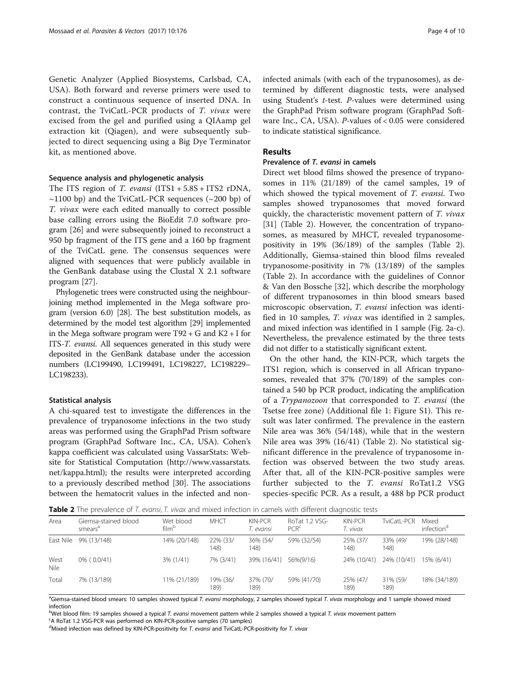<span id="page-3-0"></span>Genetic Analyzer (Applied Biosystems, Carlsbad, CA, USA). Both forward and reverse primers were used to construct a continuous sequence of inserted DNA. In contrast, the TviCatL-PCR products of T. vivax were excised from the gel and purified using a QIAamp gel extraction kit (Qiagen), and were subsequently subjected to direct sequencing using a Big Dye Terminator kit, as mentioned above.

#### Sequence analysis and phylogenetic analysis

The ITS region of T. evansi  $(ITS1 + 5.8S + ITS2 rDNA,$  $\sim$ 1100 bp) and the TviCatL-PCR sequences ( $\sim$ 200 bp) of T. vivax were each edited manually to correct possible base calling errors using the BioEdit 7.0 software program [[26\]](#page-8-0) and were subsequently joined to reconstruct a 950 bp fragment of the ITS gene and a 160 bp fragment of the TviCatL gene. The consensus sequences were aligned with sequences that were publicly available in the GenBank database using the Clustal X 2.1 software program [[27\]](#page-8-0).

Phylogenetic trees were constructed using the neighbourjoining method implemented in the Mega software program (version 6.0) [\[28\]](#page-8-0). The best substitution models, as determined by the model test algorithm [\[29](#page-8-0)] implemented in the Mega software program were  $T92 + G$  and  $K2 + I$  for ITS-T. evansi. All sequences generated in this study were deposited in the GenBank database under the accession numbers (LC199490, LC199491, LC198227, LC198229– LC198233).

#### Statistical analysis

A chi-squared test to investigate the differences in the prevalence of trypanosome infections in the two study areas was performed using the GraphPad Prism software program (GraphPad Software Inc., CA, USA). Cohen's kappa coefficient was calculated using VassarStats: Website for Statistical Computation [\(http://www.vassarstats.](http://www.vassarstats.net/kappa.html) [net/kappa.html\)](http://www.vassarstats.net/kappa.html); the results were interpreted according to a previously described method [\[30\]](#page-8-0). The associations between the hematocrit values in the infected and noninfected animals (with each of the trypanosomes), as determined by different diagnostic tests, were analysed using Student's  $t$ -test. P-values were determined using the GraphPad Prism software program (GraphPad Software Inc., CA, USA). P-values of < 0.05 were considered to indicate statistical significance.

#### Results

#### Prevalence of T. evansi in camels

Direct wet blood films showed the presence of trypanosomes in 11% (21/189) of the camel samples, 19 of which showed the typical movement of T. evansi. Two samples showed trypanosomes that moved forward quickly, the characteristic movement pattern of T. vivax [[31\]](#page-8-0) (Table 2). However, the concentration of trypanosomes, as measured by MHCT, revealed trypanosomepositivity in 19% (36/189) of the samples (Table 2). Additionally, Giemsa-stained thin blood films revealed trypanosome-positivity in 7% (13/189) of the samples (Table 2). In accordance with the guidelines of Connor & Van den Bossche [[32\]](#page-8-0), which describe the morphology of different trypanosomes in thin blood smears based microscopic observation, T. evansi infection was identified in 10 samples, T. vivax was identified in 2 samples, and mixed infection was identified in 1 sample (Fig. [2a-c](#page-4-0)). Nevertheless, the prevalence estimated by the three tests did not differ to a statistically significant extent.

On the other hand, the KIN-PCR, which targets the ITS1 region, which is conserved in all African trypanosomes, revealed that 37% (70/189) of the samples contained a 540 bp PCR product, indicating the amplification of a Trypanozoon that corresponded to T. evansi (the Tsetse free zone) (Additional file [1:](#page-7-0) Figure S1). This result was later confirmed. The prevalence in the eastern Nile area was 36% (54/148), while that in the western Nile area was 39% (16/41) (Table 2). No statistical significant difference in the prevalence of trypanosome infection was observed between the two study areas. After that, all of the KIN-PCR-positive samples were further subjected to the T. evansi RoTat1.2 VSG species-specific PCR. As a result, a 488 bp PCR product

Table 2 The prevalence of T. evansi, T. vivax and mixed infection in camels with different diagnostic tests

| Area         | Giemsa-stained blood<br>smears <sup>a</sup> | Wet blood<br>film <sup>o</sup> | <b>MHCT</b>      | KIN-PCR<br>T. evansi | RoTat 1.2 VSG-<br>PCR <sup>c</sup> | KIN-PCR<br>T. vivax | TviCatL-PCR      | Mixed<br>infection <sup>a</sup> |
|--------------|---------------------------------------------|--------------------------------|------------------|----------------------|------------------------------------|---------------------|------------------|---------------------------------|
| East Nile    | 9% (13/148)                                 | 14% (20/148)                   | 22% (33/<br>148) | 36% (54/<br>148)     | 59% (32/54)                        | 25% (37/<br>148)    | 33% (49/<br>148) | 19% (28/148)                    |
| West<br>Nile | $0\%$ ( $0.0/41$ )                          | 3% (1/41)                      | 7% (3/41)        | 39% (16/41)          | 56%(9/16)                          | 24% (10/41)         | 24% (10/41)      | 15% (6/41)                      |
| Total        | 7% (13/189)                                 | 11% (21/189)                   | 19% (36/<br>189) | 37% (70/<br>189)     | 59% (41/70)                        | 25% (47/<br>189)    | 31% (59/<br>189) | 18% (34/189)                    |

<sup>a</sup>Giemsa-stained blood smears: 10 samples showed typical T. evansi morphology, 2 samples showed typical T. vivax morphology and 1 sample showed mixed infection

b Wet blood film: 19 samples showed a typical T. evansi movement pattern while 2 samples showed a typical T. vivax movement pattern<br>SA ReTat 1.2 VSG RCR was parformed an KIN RCR positive samples (70 samples)

<sup>c</sup>A RoTat 1.2 VSG-PCR was performed on KIN-PCR-positive samples (70 samples)

<sup>d</sup>Mixed infection was defined by KIN-PCR-positivity for T. evansi and TviCatL-PCR-positivity for T. vivax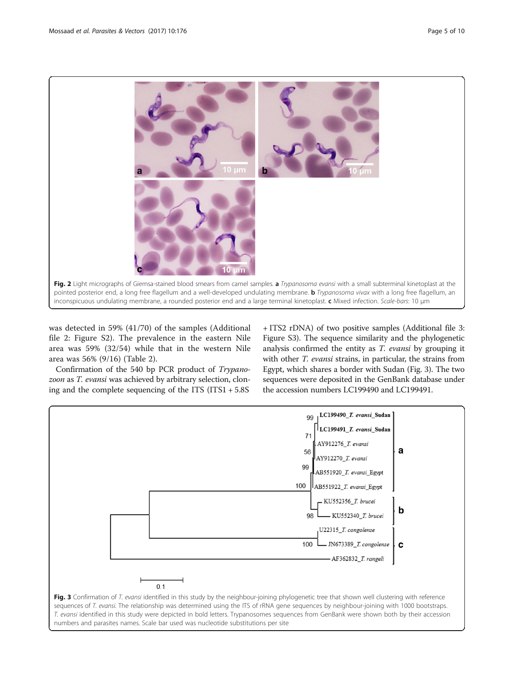<span id="page-4-0"></span>

was detected in 59% (41/70) of the samples (Additional file [2](#page-7-0): Figure S2). The prevalence in the eastern Nile area was 59% (32/54) while that in the western Nile area was 56% (9/16) (Table [2](#page-3-0)).

Confirmation of the 540 bp PCR product of Trypanozoon as T. evansi was achieved by arbitrary selection, cloning and the complete sequencing of the ITS (ITS1 + 5.8S

+ ITS2 rDNA) of two positive samples (Additional file [3](#page-7-0): Figure S3). The sequence similarity and the phylogenetic analysis confirmed the entity as T. evansi by grouping it with other *T. evansi* strains, in particular, the strains from Egypt, which shares a border with Sudan (Fig. 3). The two sequences were deposited in the GenBank database under the accession numbers LC199490 and LC199491.



sequences of T. evansi. The relationship was determined using the ITS of rRNA gene sequences by neighbour-joining with 1000 bootstraps. T. evansi identified in this study were depicted in bold letters. Trypanosomes sequences from GenBank were shown both by their accession numbers and parasites names. Scale bar used was nucleotide substitutions per site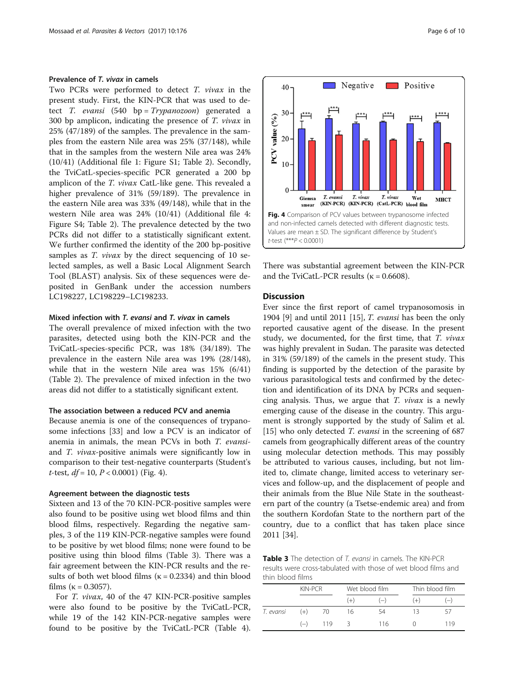#### Prevalence of T. vivax in camels

Two PCRs were performed to detect T. vivax in the present study. First, the KIN-PCR that was used to detect *T. evansi*  $(540 \text{ bp} = Trypanozoon)$  generated a 300 bp amplicon, indicating the presence of  $T.$  vivax in 25% (47/189) of the samples. The prevalence in the samples from the eastern Nile area was 25% (37/148), while that in the samples from the western Nile area was 24% (10/41) (Additional file [1:](#page-7-0) Figure S1; Table [2\)](#page-3-0). Secondly, the TviCatL-species-specific PCR generated a 200 bp amplicon of the T. vivax CatL-like gene. This revealed a higher prevalence of 31% (59/189). The prevalence in the eastern Nile area was 33% (49/148), while that in the western Nile area was 24% (10/41) (Additional file [4](#page-7-0): Figure S4; Table [2](#page-3-0)). The prevalence detected by the two PCRs did not differ to a statistically significant extent. We further confirmed the identity of the 200 bp-positive samples as *T. vivax* by the direct sequencing of 10 selected samples, as well a Basic Local Alignment Search Tool (BLAST) analysis. Six of these sequences were deposited in GenBank under the accession numbers LC198227, LC198229–LC198233.

## Mixed infection with T. evansi and T. vivax in camels

The overall prevalence of mixed infection with the two parasites, detected using both the KIN-PCR and the TviCatL-species-specific PCR, was 18% (34/189). The prevalence in the eastern Nile area was 19% (28/148), while that in the western Nile area was 15% (6/41) (Table [2\)](#page-3-0). The prevalence of mixed infection in the two areas did not differ to a statistically significant extent.

#### The association between a reduced PCV and anemia

Because anemia is one of the consequences of trypanosome infections [[33](#page-8-0)] and low a PCV is an indicator of anemia in animals, the mean PCVs in both T. evansiand T. vivax-positive animals were significantly low in comparison to their test-negative counterparts (Student's t-test,  $df = 10$ ,  $P < 0.0001$ ) (Fig. 4).

## Agreement between the diagnostic tests

Sixteen and 13 of the 70 KIN-PCR-positive samples were also found to be positive using wet blood films and thin blood films, respectively. Regarding the negative samples, 3 of the 119 KIN-PCR-negative samples were found to be positive by wet blood films; none were found to be positive using thin blood films (Table 3). There was a fair agreement between the KIN-PCR results and the results of both wet blood films ( $\kappa = 0.2334$ ) and thin blood films ( $\kappa = 0.3057$ ).

For T. vivax, 40 of the 47 KIN-PCR-positive samples were also found to be positive by the TviCatL-PCR, while 19 of the 142 KIN-PCR-negative samples were found to be positive by the TviCatL-PCR (Table [4](#page-6-0)).





There was substantial agreement between the KIN-PCR and the TviCatL-PCR results ( $\kappa$  = 0.6608).

#### **Discussion**

Ever since the first report of camel trypanosomosis in 1904 [[9\]](#page-8-0) and until 2011 [\[15](#page-8-0)], *T. evansi* has been the only reported causative agent of the disease. In the present study, we documented, for the first time, that T. vivax was highly prevalent in Sudan. The parasite was detected in 31% (59/189) of the camels in the present study. This finding is supported by the detection of the parasite by various parasitological tests and confirmed by the detection and identification of its DNA by PCRs and sequencing analysis. Thus, we argue that  $T$ . *vivax* is a newly emerging cause of the disease in the country. This argument is strongly supported by the study of Salim et al. [[15\]](#page-8-0) who only detected *T. evansi* in the screening of 687 camels from geographically different areas of the country using molecular detection methods. This may possibly be attributed to various causes, including, but not limited to, climate change, limited access to veterinary services and follow-up, and the displacement of people and their animals from the Blue Nile State in the southeastern part of the country (a Tsetse-endemic area) and from the southern Kordofan State to the northern part of the country, due to a conflict that has taken place since 2011 [\[34](#page-8-0)].

Table 3 The detection of T. evansi in camels. The KIN-PCR results were cross-tabulated with those of wet blood films and thin blood films

|           | KIN-PCR |     | Wet blood film |       | Thin blood film |                   |
|-----------|---------|-----|----------------|-------|-----------------|-------------------|
|           |         |     | $(+)$          | $(-)$ | $(+)$           | $\left( -\right)$ |
| T. evansi | $(+)$   | 70  | 16             | 54    | 13              | -57               |
|           | $(-)$   | 119 | $\prec$        | 116   |                 | 119               |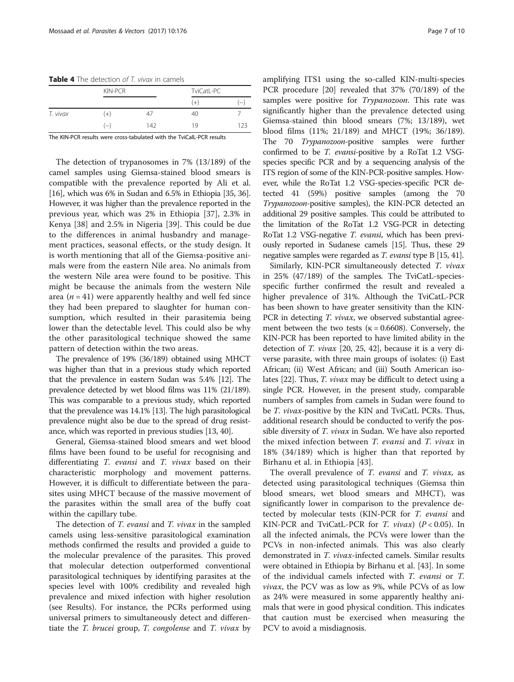<span id="page-6-0"></span>Table 4 The detection of T. vivax in camels

|          | KIN-PCR |     | TviCatL-PC |                          |  |
|----------|---------|-----|------------|--------------------------|--|
|          |         |     | $(+)$      | $\overline{\phantom{0}}$ |  |
| T. vivax | $(+)$   | 47  | 40         |                          |  |
|          | $(-)$   | 142 | 19         | 123                      |  |

The KIN-PCR results were cross-tabulated with the TviCalL-PCR results

The detection of trypanosomes in 7% (13/189) of the camel samples using Giemsa-stained blood smears is compatible with the prevalence reported by Ali et al. [[16\]](#page-8-0), which was 6% in Sudan and 6.5% in Ethiopia [[35](#page-8-0), [36](#page-8-0)]. However, it was higher than the prevalence reported in the previous year, which was 2% in Ethiopia [\[37](#page-8-0)], 2.3% in Kenya [[38\]](#page-8-0) and 2.5% in Nigeria [\[39](#page-8-0)]. This could be due to the differences in animal husbandry and management practices, seasonal effects, or the study design. It is worth mentioning that all of the Giemsa-positive animals were from the eastern Nile area. No animals from the western Nile area were found to be positive. This might be because the animals from the western Nile area ( $n = 41$ ) were apparently healthy and well fed since they had been prepared to slaughter for human consumption, which resulted in their parasitemia being lower than the detectable level. This could also be why the other parasitological technique showed the same pattern of detection within the two areas.

The prevalence of 19% (36/189) obtained using MHCT was higher than that in a previous study which reported that the prevalence in eastern Sudan was 5.4% [\[12](#page-8-0)]. The prevalence detected by wet blood films was 11% (21/189). This was comparable to a previous study, which reported that the prevalence was 14.1% [\[13\]](#page-8-0). The high parasitological prevalence might also be due to the spread of drug resistance, which was reported in previous studies [\[13, 40\]](#page-8-0).

General, Giemsa-stained blood smears and wet blood films have been found to be useful for recognising and differentiating T. evansi and T. vivax based on their characteristic morphology and movement patterns. However, it is difficult to differentiate between the parasites using MHCT because of the massive movement of the parasites within the small area of the buffy coat within the capillary tube.

The detection of T. evansi and T. vivax in the sampled camels using less-sensitive parasitological examination methods confirmed the results and provided a guide to the molecular prevalence of the parasites. This proved that molecular detection outperformed conventional parasitological techniques by identifying parasites at the species level with 100% credibility and revealed high prevalence and mixed infection with higher resolution (see Results). For instance, the PCRs performed using universal primers to simultaneously detect and differentiate the T. brucei group, T. congolense and T. vivax by amplifying ITS1 using the so-called KIN-multi-species PCR procedure [[20](#page-8-0)] revealed that 37% (70/189) of the samples were positive for *Trypanozoon*. This rate was significantly higher than the prevalence detected using Giemsa-stained thin blood smears (7%; 13/189), wet blood films (11%; 21/189) and MHCT (19%; 36/189). The 70 Trypanozoon-positive samples were further confirmed to be T. evansi-positive by a RoTat 1.2 VSGspecies specific PCR and by a sequencing analysis of the ITS region of some of the KIN-PCR-positive samples. However, while the RoTat 1.2 VSG-species-specific PCR detected 41 (59%) positive samples (among the 70 Trypanozoon-positive samples), the KIN-PCR detected an additional 29 positive samples. This could be attributed to the limitation of the RoTat 1.2 VSG-PCR in detecting RoTat 1.2 VSG-negative T. evansi, which has been previously reported in Sudanese camels [\[15\]](#page-8-0). Thus, these 29 negative samples were regarded as T. evansi type B [\[15](#page-8-0), [41\]](#page-8-0).

Similarly, KIN-PCR simultaneously detected T. vivax in 25% (47/189) of the samples. The TviCatL-speciesspecific further confirmed the result and revealed a higher prevalence of 31%. Although the TviCatL-PCR has been shown to have greater sensitivity than the KIN-PCR in detecting *T. vivax*, we observed substantial agreement between the two tests ( $\kappa = 0.6608$ ). Conversely, the KIN-PCR has been reported to have limited ability in the detection of T. vivax [[20](#page-8-0), [25, 42\]](#page-8-0), because it is a very diverse parasite, with three main groups of isolates: (i) East African; (ii) West African; and (iii) South American isolates [[22](#page-8-0)]. Thus, T. vivax may be difficult to detect using a single PCR. However, in the present study, comparable numbers of samples from camels in Sudan were found to be T. vivax-positive by the KIN and TviCatL PCRs. Thus, additional research should be conducted to verify the possible diversity of T. vivax in Sudan. We have also reported the mixed infection between T. evansi and T. vivax in 18% (34/189) which is higher than that reported by Birhanu et al. in Ethiopia [[43](#page-9-0)].

The overall prevalence of *T. evansi* and *T. vivax*, as detected using parasitological techniques (Giemsa thin blood smears, wet blood smears and MHCT), was significantly lower in comparison to the prevalence detected by molecular tests (KIN-PCR for T. evansi and KIN-PCR and TviCatL-PCR for T.  $vivax$ ) ( $P < 0.05$ ). In all the infected animals, the PCVs were lower than the PCVs in non-infected animals. This was also clearly demonstrated in T. vivax-infected camels. Similar results were obtained in Ethiopia by Birhanu et al. [\[43](#page-9-0)]. In some of the individual camels infected with T. evansi or T. vivax, the PCV was as low as 9%, while PCVs of as low as 24% were measured in some apparently healthy animals that were in good physical condition. This indicates that caution must be exercised when measuring the PCV to avoid a misdiagnosis.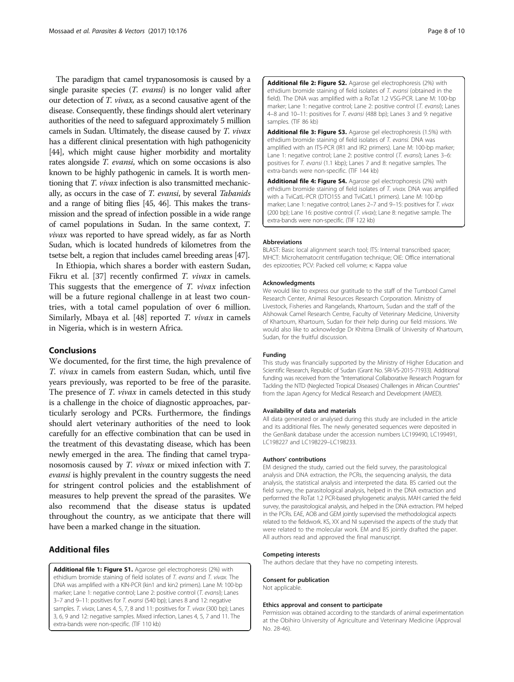<span id="page-7-0"></span>The paradigm that camel trypanosomosis is caused by a single parasite species  $(T.$  evansi) is no longer valid after our detection of T. vivax, as a second causative agent of the disease. Consequently, these findings should alert veterinary authorities of the need to safeguard approximately 5 million camels in Sudan. Ultimately, the disease caused by T. vivax has a different clinical presentation with high pathogenicity [[44](#page-9-0)], which might cause higher morbidity and mortality rates alongside T. evansi, which on some occasions is also known to be highly pathogenic in camels. It is worth mentioning that T. vivax infection is also transmitted mechanically, as occurs in the case of T. evansi, by several Tabanids and a range of biting flies [\[45, 46\]](#page-9-0). This makes the transmission and the spread of infection possible in a wide range of camel populations in Sudan. In the same context, T. vivax was reported to have spread widely, as far as North Sudan, which is located hundreds of kilometres from the tsetse belt, a region that includes camel breeding areas [\[47](#page-9-0)].

In Ethiopia, which shares a border with eastern Sudan, Fikru et al. [\[37](#page-8-0)] recently confirmed *T. vivax* in camels. This suggests that the emergence of  $T$ . *vivax* infection will be a future regional challenge in at least two countries, with a total camel population of over 6 million. Similarly, Mbaya et al. [\[48](#page-9-0)] reported T. vivax in camels in Nigeria, which is in western Africa.

### Conclusions

We documented, for the first time, the high prevalence of T. vivax in camels from eastern Sudan, which, until five years previously, was reported to be free of the parasite. The presence of *T. vivax* in camels detected in this study is a challenge in the choice of diagnostic approaches, particularly serology and PCRs. Furthermore, the findings should alert veterinary authorities of the need to look carefully for an effective combination that can be used in the treatment of this devastating disease, which has been newly emerged in the area. The finding that camel trypanosomosis caused by T. vivax or mixed infection with T. evansi is highly prevalent in the country suggests the need for stringent control policies and the establishment of measures to help prevent the spread of the parasites. We also recommend that the disease status is updated throughout the country, as we anticipate that there will have been a marked change in the situation.

## Additional files

[Additional file 1: Figure S1.](dx.doi.org/10.1186/s13071-017-2117-5) Agarose gel electrophoresis (2%) with ethidium bromide staining of field isolates of T. evansi and T. vivax. The DNA was amplified with a KIN-PCR (kin1 and kin2 primers). Lane M: 100-bp marker; Lane 1: negative control; Lane 2: positive control (T. evansi); Lanes 3–7 and 9–11: positives for T. evansi (540 bp); Lanes 8 and 12: negative samples. T. vivax, Lanes 4, 5, 7, 8 and 11: positives for T. vivax (300 bp); Lanes 3, 6, 9 and 12: negative samples. Mixed infection, Lanes 4, 5, 7 and 11. The extra-bands were non-specific. (TIF 110 kb)

[Additional file 2: Figure S2.](dx.doi.org/10.1186/s13071-017-2117-5) Agarose gel electrophoresis (2%) with ethidium bromide staining of field isolates of T. evansi (obtained in the field). The DNA was amplified with a RoTat 1.2 VSG-PCR. Lane M: 100-bp marker; Lane 1: negative control; Lane 2: positive control (T. evansi); Lanes 4–8 and 10–11: positives for T. evansi (488 bp); Lanes 3 and 9: negative samples. (TIF 86 kb)

[Additional file 3: Figure S3.](dx.doi.org/10.1186/s13071-017-2117-5) Agarose gel electrophoresis (1.5%) with ethidium bromide staining of field isolates of T. evansi. DNA was amplified with an ITS-PCR (IR1 and IR2 primers). Lane M: 100-bp marker; Lane 1: negative control; Lane 2: positive control (T. evansi); Lanes 3-6: positives for T. evansi (1.1 kbp); Lanes 7 and 8: negative samples. The extra-bands were non-specific. (TIF 144 kb)

[Additional file 4: Figure S4.](dx.doi.org/10.1186/s13071-017-2117-5) Agarose gel electrophoresis (2%) with ethidium bromide staining of field isolates of T. vivax. DNA was amplified with a TviCatL-PCR (DTO155 and TviCatL1 primers). Lane M: 100-bp marker; Lane 1: negative control; Lanes 2–7 and 9–15: positives for T. vivax (200 bp); Lane 16: positive control (T. vivax); Lane 8: negative sample. The extra-bands were non-specific. (TIF 122 kb)

#### Abbreviations

BLAST: Basic local alignment search tool; ITS: Internal transcribed spacer; MHCT: Microhematocrit centrifugation technique; OIE: Office international des epizooties; PCV: Packed cell volume; κ: Kappa value

#### Acknowledgments

We would like to express our gratitude to the staff of the Tumbool Camel Research Center, Animal Resources Research Corporation. Ministry of Livestock, Fisheries and Rangelands, Khartoum, Sudan and the staff of the Alshowak Camel Research Centre, Faculty of Veterinary Medicine, University of Khartoum, Khartoum, Sudan for their help during our field missions. We would also like to acknowledge Dr Khitma Elmalik of University of Khartoum, Sudan, for the fruitful discussion.

#### Funding

This study was financially supported by the Ministry of Higher Education and Scientific Research, Republic of Sudan (Grant No. SRI-VS-2015-71933). Additional funding was received from the "International Collaborative Research Program for Tackling the NTD (Neglected Tropical Diseases) Challenges in African Countries" from the Japan Agency for Medical Research and Development (AMED).

#### Availability of data and materials

All data generated or analysed during this study are included in the article and its additional files. The newly generated sequences were deposited in the GenBank database under the accession numbers LC199490, LC199491, LC198227 and LC198229–LC198233.

#### Authors' contributions

EM designed the study, carried out the field survey, the parasitological analysis and DNA extraction, the PCRs, the sequencing analysis, the data analysis, the statistical analysis and interpreted the data. BS carried out the field survey, the parasitological analysis, helped in the DNA extraction and performed the RoTat 1.2 PCR-based phylogenetic analysis. MAH carried the field survey, the parasitological analysis, and helped in the DNA extraction. PM helped in the PCRs. EAE, AOB and GEM jointly supervised the methodological aspects related to the fieldwork. KS, XX and NI supervised the aspects of the study that were related to the molecular work. EM and BS jointly drafted the paper. All authors read and approved the final manuscript.

#### Competing interests

The authors declare that they have no competing interests.

#### Consent for publication

Not applicable.

#### Ethics approval and consent to participate

Permission was obtained according to the standards of animal experimentation at the Obihiro University of Agriculture and Veterinary Medicine (Approval No. 28-46).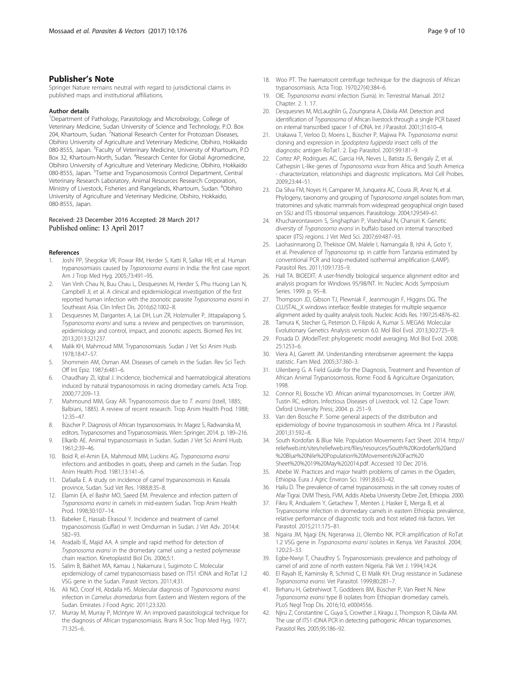### <span id="page-8-0"></span>Publisher's Note

Springer Nature remains neutral with regard to jurisdictional claims in published maps and institutional affiliations.

#### Author details

<sup>1</sup>Department of Pathology, Parasitology and Microbiology, College of Veterinary Medicine, Sudan University of Science and Technology, P.O. Box 204, Khartoum, Sudan. <sup>2</sup>National Research Center for Protozoan Diseases, Obihiro University of Agriculture and Veterinary Medicine, Obihiro, Hokkaido 080-8555, Japan. <sup>3</sup>Faculty of Veterinary Medicine, University of Khartoum, P.O Box 32, Khartoum-North, Sudan. <sup>4</sup>Research Center for Global Agromedicine, Obihiro University of Agriculture and Veterinary Medicine, Obihiro, Hokkaido 080-8555, Japan. <sup>5</sup>Tsetse and Trypanosomosis Control Department, Central Veterinary Research Laboratory, Animal Resources Research Corporation, Ministry of Livestock, Fisheries and Rangelands, Khartoum, Sudan. <sup>6</sup>Obihiro University of Agriculture and Veterinary Medicine, Obihiro, Hokkaido, 080-8555, Japan.

#### Received: 23 December 2016 Accepted: 28 March 2017 Published online: 13 April 2017

#### References

- 1. Joshi PP, Shegokar VR, Powar RM, Herder S, Katti R, Salkar HR, et al. Human trypanosomiasis caused by Trypanosoma evansi in India: the first case report. Am J Trop Med Hyg. 2005;73:491–95.
- Van Vinh Chau N, Buu Chau L, Desquesnes M, Herder S, Phu Huong Lan N, Campbell JI, et al. A clinical and epidemiological investigation of the first reported human infection with the zoonotic parasite Trypanosoma evansi in Southeast Asia. Clin Infect Dis. 2016;62:1002–8.
- 3. Desquesnes M, Dargantes A, Lai DH, Lun ZR, Holzmuller P, Jittapalapong S. Trypanosoma evansi and surra: a review and perspectives on transmission, epidemiology and control, impact, and zoonotic aspects. Biomed Res Int. 2013;2013:321237.
- 4. Malik KH, Mahmoud MM. Trypanosomiasis. Sudan J Vet Sci Anim Husb. 1978;18:47–57.
- 5. Shommein AM, Osman AM. Diseases of camels in the Sudan. Rev Sci Tech Off Int Epiz. 1987;6:481–6.
- 6. Chaudhary ZI, Iqbal J. Incidence, biochemical and haematological alterations induced by natural trypanosomosis in racing dromedary camels. Acta Trop. 2000;77:209–13.
- 7. Mahmound MM, Gray AR. Trypanosomosis due to T. evansi (Istell, 1885; Balbiani, 1885). A review of recent research. Trop Anim Health Prod. 1988; 12:35–47.
- 8. Büscher P. Diagnosis of African trypanosomiasis. In: Magez S, Radwanska M, editors. Trypanosomes and Trypanosomiasis. Wien: Springer; 2014. p. 189–216.
- 9. Elkarib AE. Animal trypanosomiasis in Sudan. Sudan J Vet Sci Animl Husb. 1961;2:39–46.
- 10. Boid R, el-Amin EA, Mahmoud MM, Luckins AG. Trypanosoma evansi infections and antibodies in goats, sheep and camels in the Sudan. Trop Anim Health Prod. 1981;13:141–6.
- 11. Dafaalla E. A study on incidence of camel trypanosomosis in Kassala province, Sudan. Sud Vet Res. 1988;8:35–8.
- Elamin EA, el Bashir MO, Saeed EM. Prevalence and infection pattern of Trypanosoma evansi in camels in mid-eastern Sudan. Trop Anim Health Prod. 1998;30:107–14.
- 13. Babeker E, Hassab Elrasoul Y. Incidence and treatment of camel trypanosomosis (Guffar) in west Omdurman in Sudan. J Vet Adv. 2014;4: 582–93.
- 14. Aradaib IE, Majid AA. A simple and rapid method for detection of Trypanosoma evansi in the dromedary camel using a nested polymerase chain reaction. Kinetoplastid Biol Dis. 2006;5:1.
- 15. Salim B, Bakheit MA, Kamau J, Nakamura I, Sugimoto C. Molecular epidemiology of camel trypanosomiasis based on ITS1 rDNA and RoTat 1.2 VSG gene in the Sudan. Parasit Vectors. 2011;4:31.
- 16. Ali NO, Croof HI, Abdalla HS. Molecular diagnosis of Trypanosoma evansi infection in Camelus dromedarius from Eastern and Western regions of the Sudan. Emirates J Food Agric. 2011;23:320.
- 17. Murray M, Murray P, McIntyre W. An improved parasitological technique for the diagnosis of African trypanosomiasis. Rrans R Soc Trop Med Hyg. 1977; 71:325–6.
- 18. Woo PT. The haematocrit centrifuge technique for the diagnosis of African trypanosomiasis. Acta Trop. 1970;27(4):384–6.
- 19. OIE. Trypanosoma evansi infection (Surra). In: Terrestrial Manual. 2012 Chapter. 2. 1. 17.
- 20. Desquesnes M, McLaughlin G, Zoungrana A, Dávila AM. Detection and identification of Trypanosoma of African livestock through a single PCR based on internal transcribed spacer 1 of rDNA. Int J Parasitol. 2001;31:610–4.
- 21. Urakawa T, Verloo D, Moens L, Büscher P, Majiwa PA. Trypanosoma evansi: cloning and expression in Spodoptera fugiperda insect cells of the diagnostic antigen RoTat1. 2. Exp Parasitol. 2001;99:181–9.
- 22. Cortez AP, Rodrigues AC, Garcia HA, Neves L, Batista JS, Bengaly Z, et al. Cathepsin L-like genes of Trypanosoma vivax from Africa and South America - characterization, relationships and diagnostic implications. Mol Cell Probes. 2009;23:44–51.
- 23. Da Silva FM, Noyes H, Campaner M, Junqueira AC, Coura JR, Anez N, et al. Phylogeny, taxonomy and grouping of Trypanosoma rangeli isolates from man, triatomines and sylvatic mammals from widespread geographical origin based on SSU and ITS ribosomal sequences. Parasitology. 2004;129:549–61.
- 24. Khuchareontaworn S, Singhaphan P, Viseshakul N, Chansiri K. Genetic diversity of Trypanosoma evansi in buffalo based on internal transcribed spacer (ITS) regions. J Vet Med Sci. 2007;69:487–93.
- 25. Laohasinnarong D, Thekisoe OM, Malele I, Namangala B, Ishii A, Goto Y, et al. Prevalence of Trypanosoma sp. in cattle from Tanzania estimated by conventional PCR and loop-mediated isothermal amplification (LAMP). Parasitol Res. 2011;109:1735–9.
- 26. Hall TA. BIOEDIT: A user-friendly biological sequence alignment editor and analysis program for Windows 95/98/NT. In: Nucleic Acids Symposium Series. 1999. p. 95–8.
- 27. Thompson JD, Gibson TJ, Plewniak F, Jeanmougin F, Higgins DG. The CLUSTAL\_X windows interface: flexible strategies for multiple sequence alignment aided by quality analysis tools. Nucleic Acids Res. 1997;25:4876–82.
- 28. Tamura K, Stecher G, Peterson D, Filipski A, Kumar S. MEGA6: Molecular Evolutionary Genetics Analysis version 6.0. Mol Biol Evol. 2013;30:2725–9.
- 29. Posada D. jModelTest: phylogenetic model averaging. Mol Biol Evol. 2008; 25:1253–6.
- 30. Viera AJ, Garrett JM. Understanding interobserver agreement: the kappa statistic. Fam Med. 2005;37:360–3.
- 31. Uilenberg G. A Field Guide for the Diagnosis, Treatment and Prevention of African Animal Trypanosomosis. Rome: Food & Agriculture Organization; 1998.
- 32. Connor RJ, Bossche VD. African animal trypanosomoses. In: Coetzer JAW, Tustin RC, editors. Infectious Diseases of Livestock, vol. 12. Cape Town: Oxford University Press; 2004. p. 251–9.
- 33. Van den Bossche P. Some general aspects of the distribution and epidemiology of bovine trypanosomosis in southern Africa. Int J Parasitol. 2001;31:592–8.
- 34. South Kordofan & Blue Nile. Population Movements Fact Sheet. 2014. [http://](http://reliefweb.int/sites/reliefweb.int/files/resources/South%20Kordofan%20and%20Blue%20Nile%20Population%20Movements%20Fact%20Sheet%20%2019%20May%202014.pdf) [reliefweb.int/sites/reliefweb.int/files/resources/South%20Kordofan%20and](http://reliefweb.int/sites/reliefweb.int/files/resources/South%20Kordofan%20and%20Blue%20Nile%20Population%20Movements%20Fact%20Sheet%20%2019%20May%202014.pdf) [%20Blue%20Nile%20Population%20Movements%20Fact%20](http://reliefweb.int/sites/reliefweb.int/files/resources/South%20Kordofan%20and%20Blue%20Nile%20Population%20Movements%20Fact%20Sheet%20%2019%20May%202014.pdf) [Sheet%20%2019%20May%202014.pdf.](http://reliefweb.int/sites/reliefweb.int/files/resources/South%20Kordofan%20and%20Blue%20Nile%20Population%20Movements%20Fact%20Sheet%20%2019%20May%202014.pdf) Accessed 10 Dec 2016.
- 35. Abebe W. Practices and major health problems of cames in the Ogaden, Ethiopia. Eura J Agric Environ Sci. 1991;8:633–42.
- 36. Hailu D. The prevalence of camel trypanosomosis in the salt convey routes of Afar-Tigrai. DVM Thesis, FVM, Addis Abeba University Debre Zeit, Ethiopia. 2000.
- 37. Fikru R, Andualem Y, Getachew T, Menten J, Hasker E, Merga B, et al. Trypanosome infection in dromedary camels in eastern Ethiopia: prevalence, relative performance of diagnostic tools and host related risk factors. Vet Parasitol. 2015;211:175–81.
- 38. Ngaira JM, Njagi EN, Ngeranwa JJ, Olembo NK. PCR amplification of RoTat 1.2 VSG gene in Trypanosoma evansi isolates in Kenya. Vet Parasitol. 2004; 120:23–33.
- 39. Egbe-Nwiyi T, Chaudhry S. Trypanosomiasis: prevalence and pathology of camel of arid zone of north eastern Nigeria. Pak Vet J. 1994;14:24.
- 40. El Rayah IE, Kaminsky R, Schmid C, El Malik KH. Drug resistance in Sudanese Trypanosoma evansi. Vet Parasitol. 1999;80:281–7.
- 41. Birhanu H, Gebrehiwot T, Goddeeris BM, Büscher P, Van Reet N. New Trypanosoma evansi type B isolates from Ethiopian dromedary camels. PLoS Negl Trop Dis. 2016;10, e0004556.
- 42. Njiru Z, Constantine C, Guya S, Crowther J, Kiragu J, Thompson R, Dávila AM. The use of ITS1 rDNA PCR in detecting pathogenic African trypanosomes. Parasitol Res. 2005;95:186–92.